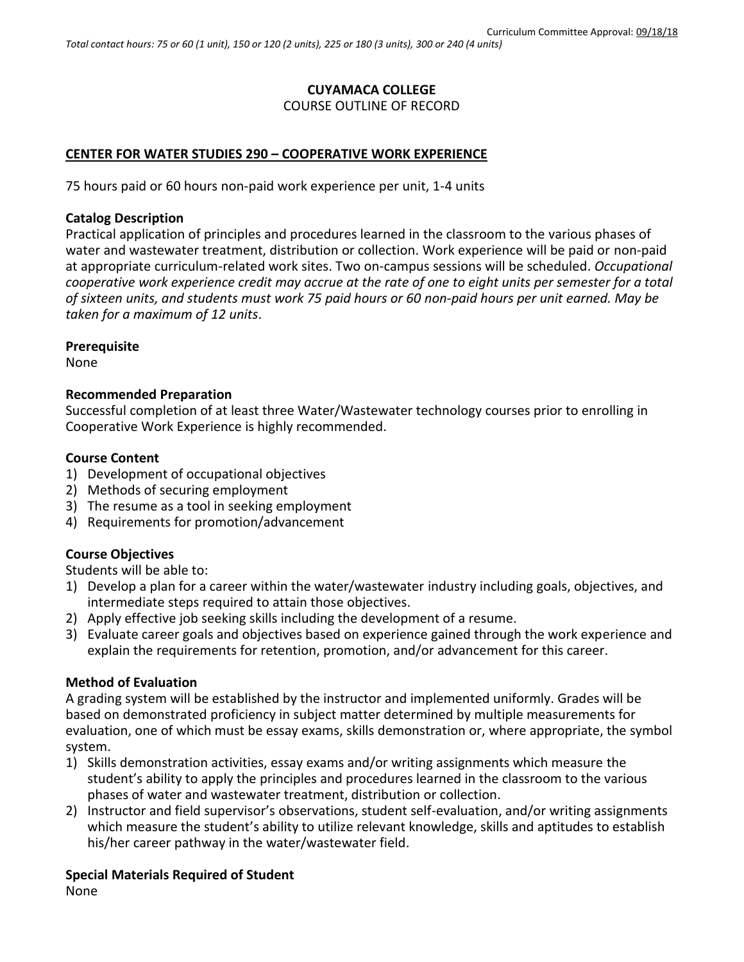# **CUYAMACA COLLEGE**

### COURSE OUTLINE OF RECORD

# **CENTER FOR WATER STUDIES 290 – COOPERATIVE WORK EXPERIENCE**

75 hours paid or 60 hours non-paid work experience per unit, 1-4 units

# **Catalog Description**

Practical application of principles and procedures learned in the classroom to the various phases of water and wastewater treatment, distribution or collection. Work experience will be paid or non-paid at appropriate curriculum-related work sites. Two on-campus sessions will be scheduled. *Occupational cooperative work experience credit may accrue at the rate of one to eight units per semester for a total of sixteen units, and students must work 75 paid hours or 60 non-paid hours per unit earned. May be taken for a maximum of 12 units*.

## **Prerequisite**

None

## **Recommended Preparation**

Successful completion of at least three Water/Wastewater technology courses prior to enrolling in Cooperative Work Experience is highly recommended.

## **Course Content**

- 1) Development of occupational objectives
- 2) Methods of securing employment
- 3) The resume as a tool in seeking employment
- 4) Requirements for promotion/advancement

# **Course Objectives**

Students will be able to:

- 1) Develop a plan for a career within the water/wastewater industry including goals, objectives, and intermediate steps required to attain those objectives.
- 2) Apply effective job seeking skills including the development of a resume.
- 3) Evaluate career goals and objectives based on experience gained through the work experience and explain the requirements for retention, promotion, and/or advancement for this career.

#### **Method of Evaluation**

A grading system will be established by the instructor and implemented uniformly. Grades will be based on demonstrated proficiency in subject matter determined by multiple measurements for evaluation, one of which must be essay exams, skills demonstration or, where appropriate, the symbol system.

- 1) Skills demonstration activities, essay exams and/or writing assignments which measure the student's ability to apply the principles and procedures learned in the classroom to the various phases of water and wastewater treatment, distribution or collection.
- 2) Instructor and field supervisor's observations, student self-evaluation, and/or writing assignments which measure the student's ability to utilize relevant knowledge, skills and aptitudes to establish his/her career pathway in the water/wastewater field.

#### **Special Materials Required of Student**

None